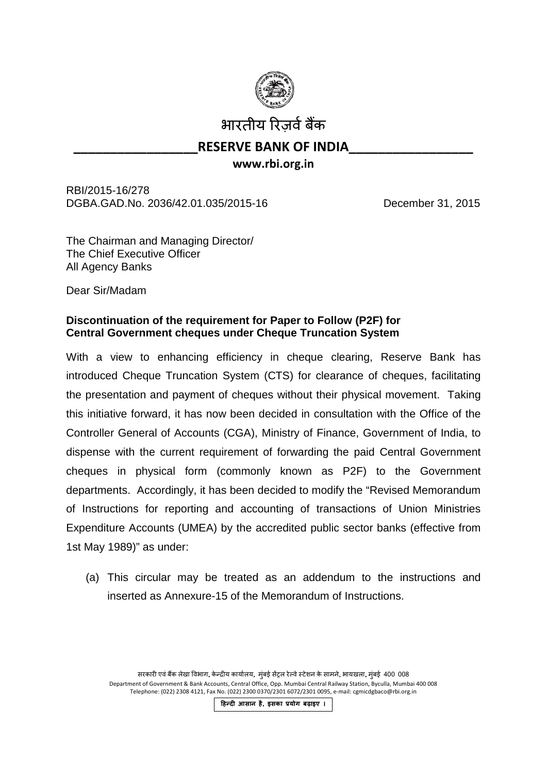

भारतीय रिजर्व बैंक

## **RESERVE BANK OF INDIA www.rbi.org.in**

RBI/2015-16/278 DGBA.GAD.No. 2036/42.01.035/2015-16 December 31, 2015

The Chairman and Managing Director/ The Chief Executive Officer All Agency Banks

Dear Sir/Madam

## **Discontinuation of the requirement for Paper to Follow (P2F) for Central Government cheques under Cheque Truncation System**

With a view to enhancing efficiency in cheque clearing, Reserve Bank has introduced Cheque Truncation System (CTS) for clearance of cheques, facilitating the presentation and payment of cheques without their physical movement. Taking this initiative forward, it has now been decided in consultation with the Office of the Controller General of Accounts (CGA), Ministry of Finance, Government of India, to dispense with the current requirement of forwarding the paid Central Government cheques in physical form (commonly known as P2F) to the Government departments. Accordingly, it has been decided to modify the "Revised Memorandum of Instructions for reporting and accounting of transactions of Union Ministries Expenditure Accounts (UMEA) by the accredited public sector banks (effective from 1st May 1989)" as under:

(a) This circular may be treated as an addendum to the instructions and inserted as Annexure-15 of the Memorandum of Instructions.

सरकारी एवं बैंक लेखा विभाग, केन्द्रीय कार्यालय, मुंबई सेंट्रल रेल्वे स्टेशन के सामने, भायखला, मुंबई 400 008 Department of Government & Bank Accounts, Central Office, Opp. Mumbai Central Railway Station, Byculla, Mumbai 400 008 Telephone: (022) 2308 4121, Fax No. (022) 2300 0370/2301 6072/2301 0095, e-mail: cgmicdgbaco@rbi.org.in

**�हन्द� आसान है, इसका प्रयोग बढ़ाइए ।**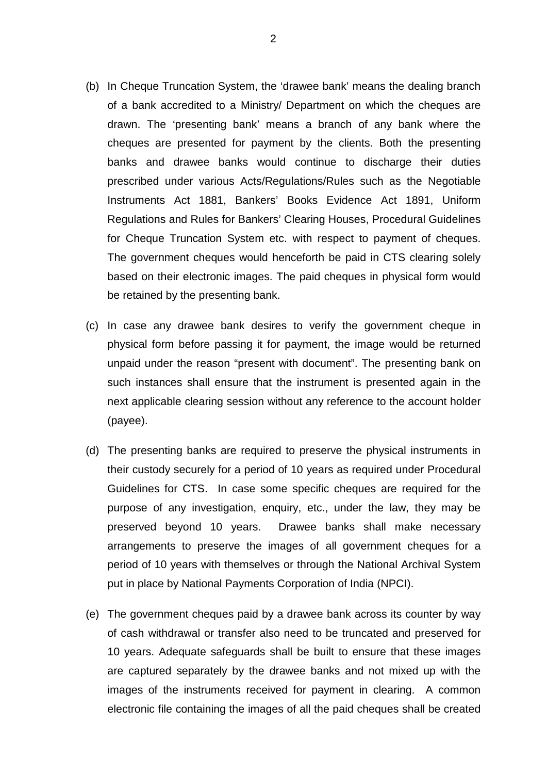- (b) In Cheque Truncation System, the 'drawee bank' means the dealing branch of a bank accredited to a Ministry/ Department on which the cheques are drawn. The 'presenting bank' means a branch of any bank where the cheques are presented for payment by the clients. Both the presenting banks and drawee banks would continue to discharge their duties prescribed under various Acts/Regulations/Rules such as the Negotiable Instruments Act 1881, Bankers' Books Evidence Act 1891, Uniform Regulations and Rules for Bankers' Clearing Houses, Procedural Guidelines for Cheque Truncation System etc. with respect to payment of cheques. The government cheques would henceforth be paid in CTS clearing solely based on their electronic images. The paid cheques in physical form would be retained by the presenting bank.
- (c) In case any drawee bank desires to verify the government cheque in physical form before passing it for payment, the image would be returned unpaid under the reason "present with document". The presenting bank on such instances shall ensure that the instrument is presented again in the next applicable clearing session without any reference to the account holder (payee).
- (d) The presenting banks are required to preserve the physical instruments in their custody securely for a period of 10 years as required under Procedural Guidelines for CTS. In case some specific cheques are required for the purpose of any investigation, enquiry, etc., under the law, they may be preserved beyond 10 years. Drawee banks shall make necessary arrangements to preserve the images of all government cheques for a period of 10 years with themselves or through the National Archival System put in place by National Payments Corporation of India (NPCI).
- (e) The government cheques paid by a drawee bank across its counter by way of cash withdrawal or transfer also need to be truncated and preserved for 10 years. Adequate safeguards shall be built to ensure that these images are captured separately by the drawee banks and not mixed up with the images of the instruments received for payment in clearing. A common electronic file containing the images of all the paid cheques shall be created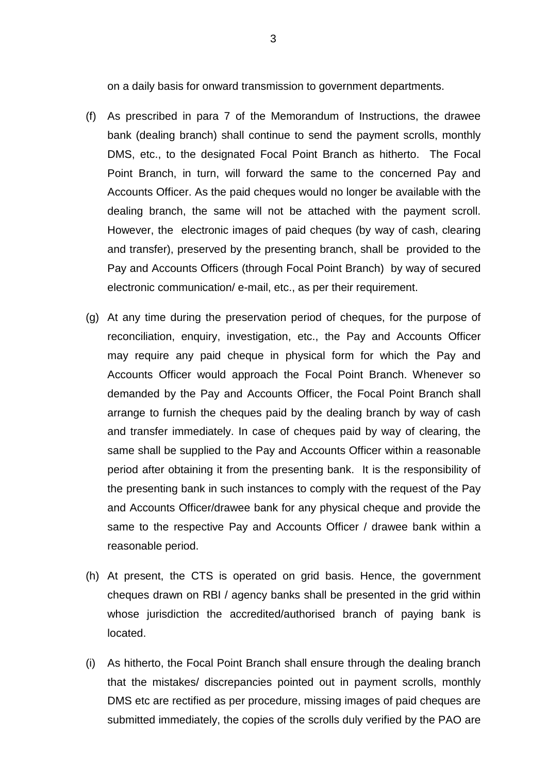on a daily basis for onward transmission to government departments.

- (f) As prescribed in para 7 of the Memorandum of Instructions, the drawee bank (dealing branch) shall continue to send the payment scrolls, monthly DMS, etc., to the designated Focal Point Branch as hitherto. The Focal Point Branch, in turn, will forward the same to the concerned Pay and Accounts Officer. As the paid cheques would no longer be available with the dealing branch, the same will not be attached with the payment scroll. However, the electronic images of paid cheques (by way of cash, clearing and transfer), preserved by the presenting branch, shall be provided to the Pay and Accounts Officers (through Focal Point Branch) by way of secured electronic communication/ e-mail, etc., as per their requirement.
- (g) At any time during the preservation period of cheques, for the purpose of reconciliation, enquiry, investigation, etc., the Pay and Accounts Officer may require any paid cheque in physical form for which the Pay and Accounts Officer would approach the Focal Point Branch. Whenever so demanded by the Pay and Accounts Officer, the Focal Point Branch shall arrange to furnish the cheques paid by the dealing branch by way of cash and transfer immediately. In case of cheques paid by way of clearing, the same shall be supplied to the Pay and Accounts Officer within a reasonable period after obtaining it from the presenting bank. It is the responsibility of the presenting bank in such instances to comply with the request of the Pay and Accounts Officer/drawee bank for any physical cheque and provide the same to the respective Pay and Accounts Officer / drawee bank within a reasonable period.
- (h) At present, the CTS is operated on grid basis. Hence, the government cheques drawn on RBI / agency banks shall be presented in the grid within whose jurisdiction the accredited/authorised branch of paying bank is located.
- (i) As hitherto, the Focal Point Branch shall ensure through the dealing branch that the mistakes/ discrepancies pointed out in payment scrolls, monthly DMS etc are rectified as per procedure, missing images of paid cheques are submitted immediately, the copies of the scrolls duly verified by the PAO are